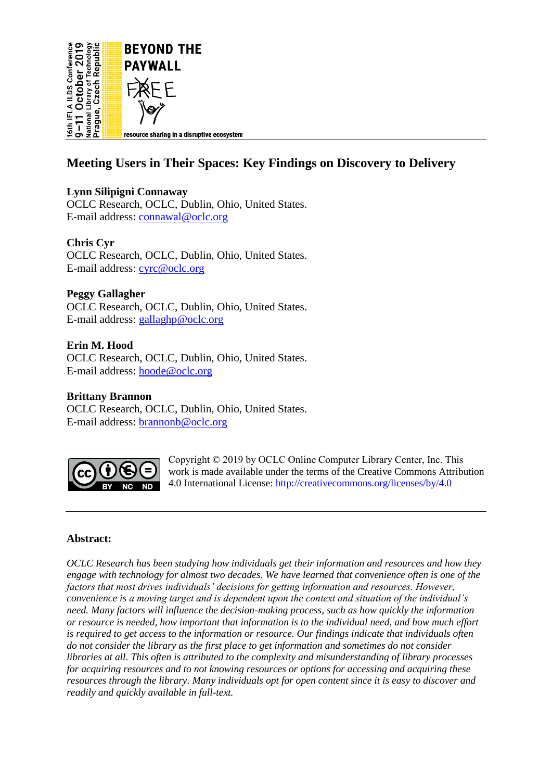

## **Meeting Users in Their Spaces: Key Findings on Discovery to Delivery**

## **Lynn Silipigni Connaway**

OCLC Research, OCLC, Dublin, Ohio, United States. E-mail address: [connawal@oclc.org](mailto:connawal@oclc.org) 

## **Chris Cyr**

OCLC Research, OCLC, Dublin, Ohio, United States. E-mail address: [cyrc@oclc.org](mailto:cyrc@oclc.org)

## **Peggy Gallagher**

OCLC Research, OCLC, Dublin, Ohio, United States. E-mail address: [gallaghp@oclc.org](mailto:gallaghp@oclc.org)

## **Erin M. Hood**

OCLC Research, OCLC, Dublin, Ohio, United States. E-mail address: [hoode@oclc.org](mailto:hoode@oclc.org)

#### **Brittany Brannon** OCLC Research, OCLC, Dublin, Ohio, United States. E-mail address: [brannonb@oclc.org](mailto:brannonb@oclc.org)



Copyright © 2019 by OCLC Online Computer Library Center, Inc. This work is made available under the terms of the Creative Commons Attribution 4.0 International License:<http://creativecommons.org/licenses/by/4.0>

## **Abstract:**

*OCLC Research has been studying how individuals get their information and resources and how they engage with technology for almost two decades. We have learned that convenience often is one of the factors that most drives individuals' decisions for getting information and resources. However, convenience is a moving target and is dependent upon the context and situation of the individual's need. Many factors will influence the decision-making process, such as how quickly the information or resource is needed, how important that information is to the individual need, and how much effort is required to get access to the information or resource. Our findings indicate that individuals often do not consider the library as the first place to get information and sometimes do not consider libraries at all. This often is attributed to the complexity and misunderstanding of library processes for acquiring resources and to not knowing resources or options for accessing and acquiring these resources through the library. Many individuals opt for open content since it is easy to discover and readily and quickly available in full-text.*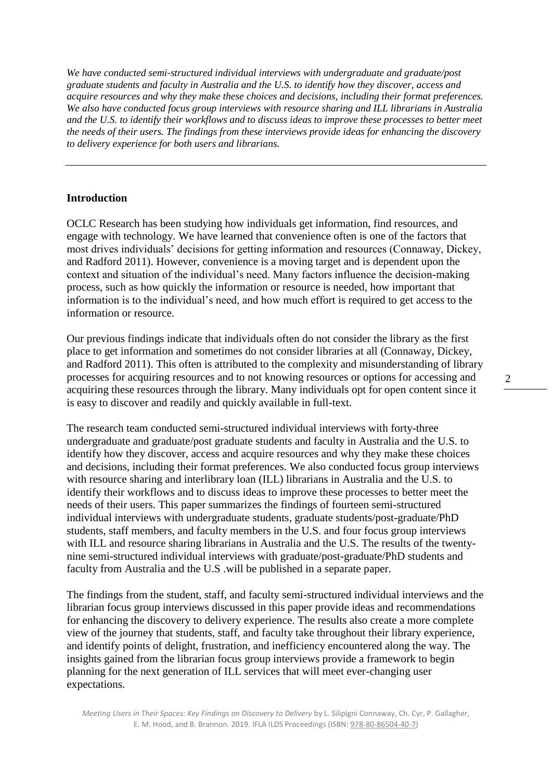*We have conducted semi-structured individual interviews with undergraduate and graduate/post graduate students and faculty in Australia and the U.S. to identify how they discover, access and acquire resources and why they make these choices and decisions, including their format preferences. We also have conducted focus group interviews with resource sharing and ILL librarians in Australia and the U.S. to identify their workflows and to discuss ideas to improve these processes to better meet the needs of their users. The findings from these interviews provide ideas for enhancing the discovery to delivery experience for both users and librarians.*

#### **Introduction**

OCLC Research has been studying how individuals get information, find resources, and engage with technology. We have learned that convenience often is one of the factors that most drives individuals' decisions for getting information and resources (Connaway, Dickey, and Radford 2011). However, convenience is a moving target and is dependent upon the context and situation of the individual's need. Many factors influence the decision-making process, such as how quickly the information or resource is needed, how important that information is to the individual's need, and how much effort is required to get access to the information or resource.

Our previous findings indicate that individuals often do not consider the library as the first place to get information and sometimes do not consider libraries at all (Connaway, Dickey, and Radford 2011). This often is attributed to the complexity and misunderstanding of library processes for acquiring resources and to not knowing resources or options for accessing and acquiring these resources through the library. Many individuals opt for open content since it is easy to discover and readily and quickly available in full-text.

The research team conducted semi-structured individual interviews with forty-three undergraduate and graduate/post graduate students and faculty in Australia and the U.S. to identify how they discover, access and acquire resources and why they make these choices and decisions, including their format preferences. We also conducted focus group interviews with resource sharing and interlibrary loan (ILL) librarians in Australia and the U.S. to identify their workflows and to discuss ideas to improve these processes to better meet the needs of their users. This paper summarizes the findings of fourteen semi-structured individual interviews with undergraduate students, graduate students/post-graduate/PhD students, staff members, and faculty members in the U.S. and four focus group interviews with ILL and resource sharing librarians in Australia and the U.S. The results of the twentynine semi-structured individual interviews with graduate/post-graduate/PhD students and faculty from Australia and the U.S .will be published in a separate paper.

The findings from the student, staff, and faculty semi-structured individual interviews and the librarian focus group interviews discussed in this paper provide ideas and recommendations for enhancing the discovery to delivery experience. The results also create a more complete view of the journey that students, staff, and faculty take throughout their library experience, and identify points of delight, frustration, and inefficiency encountered along the way. The insights gained from the librarian focus group interviews provide a framework to begin planning for the next generation of ILL services that will meet ever-changing user expectations.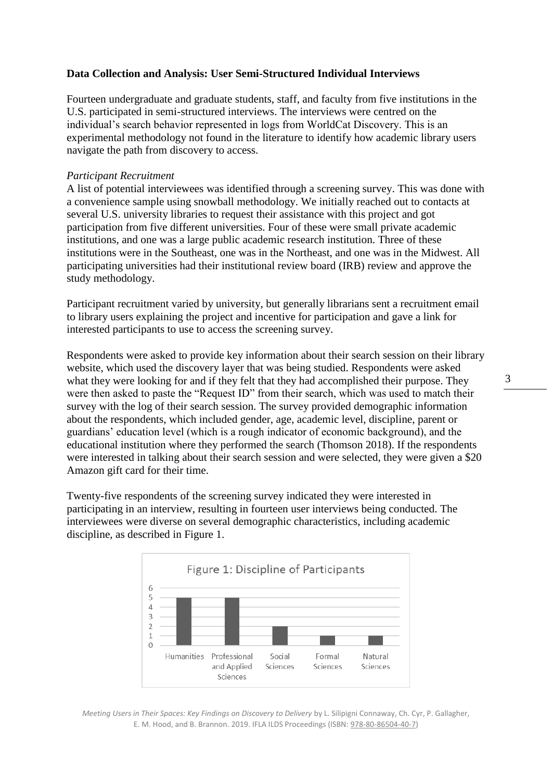## **Data Collection and Analysis: User Semi-Structured Individual Interviews**

Fourteen undergraduate and graduate students, staff, and faculty from five institutions in the U.S. participated in semi-structured interviews. The interviews were centred on the individual's search behavior represented in logs from WorldCat Discovery. This is an experimental methodology not found in the literature to identify how academic library users navigate the path from discovery to access.

#### *Participant Recruitment*

A list of potential interviewees was identified through a screening survey. This was done with a convenience sample using snowball methodology. We initially reached out to contacts at several U.S. university libraries to request their assistance with this project and got participation from five different universities. Four of these were small private academic institutions, and one was a large public academic research institution. Three of these institutions were in the Southeast, one was in the Northeast, and one was in the Midwest. All participating universities had their institutional review board (IRB) review and approve the study methodology.

Participant recruitment varied by university, but generally librarians sent a recruitment email to library users explaining the project and incentive for participation and gave a link for interested participants to use to access the screening survey.

Respondents were asked to provide key information about their search session on their library website, which used the discovery layer that was being studied. Respondents were asked what they were looking for and if they felt that they had accomplished their purpose. They were then asked to paste the "Request ID" from their search, which was used to match their survey with the log of their search session. The survey provided demographic information about the respondents, which included gender, age, academic level, discipline, parent or guardians' education level (which is a rough indicator of economic background), and the educational institution where they performed the search (Thomson 2018). If the respondents were interested in talking about their search session and were selected, they were given a \$20 Amazon gift card for their time.

Twenty-five respondents of the screening survey indicated they were interested in participating in an interview, resulting in fourteen user interviews being conducted. The interviewees were diverse on several demographic characteristics, including academic discipline, as described in Figure 1.



*Meeting Users in Their Spaces: Key Findings on Discovery to Delivery* by L. Silipigni Connaway, Ch. Cyr, P. Gallagher, E. M. Hood, and B. Brannon. 2019. IFLA ILDS Proceedings (ISBN: [978-80-86504-40-7\)](https://www.techlib.cz/en/84026)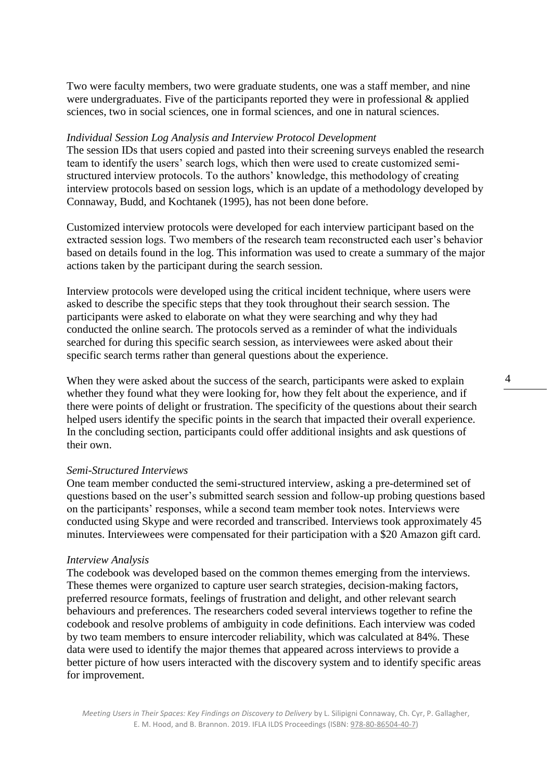Two were faculty members, two were graduate students, one was a staff member, and nine were undergraduates. Five of the participants reported they were in professional & applied sciences, two in social sciences, one in formal sciences, and one in natural sciences.

#### *Individual Session Log Analysis and Interview Protocol Development*

The session IDs that users copied and pasted into their screening surveys enabled the research team to identify the users' search logs, which then were used to create customized semistructured interview protocols. To the authors' knowledge, this methodology of creating interview protocols based on session logs, which is an update of a methodology developed by Connaway, Budd, and Kochtanek (1995), has not been done before.

Customized interview protocols were developed for each interview participant based on the extracted session logs. Two members of the research team reconstructed each user's behavior based on details found in the log. This information was used to create a summary of the major actions taken by the participant during the search session.

Interview protocols were developed using the critical incident technique, where users were asked to describe the specific steps that they took throughout their search session. The participants were asked to elaborate on what they were searching and why they had conducted the online search. The protocols served as a reminder of what the individuals searched for during this specific search session, as interviewees were asked about their specific search terms rather than general questions about the experience.

When they were asked about the success of the search, participants were asked to explain whether they found what they were looking for, how they felt about the experience, and if there were points of delight or frustration. The specificity of the questions about their search helped users identify the specific points in the search that impacted their overall experience. In the concluding section, participants could offer additional insights and ask questions of their own.

#### *Semi-Structured Interviews*

One team member conducted the semi-structured interview, asking a pre-determined set of questions based on the user's submitted search session and follow-up probing questions based on the participants' responses, while a second team member took notes. Interviews were conducted using Skype and were recorded and transcribed. Interviews took approximately 45 minutes. Interviewees were compensated for their participation with a \$20 Amazon gift card.

#### *Interview Analysis*

The codebook was developed based on the common themes emerging from the interviews. These themes were organized to capture user search strategies, decision-making factors, preferred resource formats, feelings of frustration and delight, and other relevant search behaviours and preferences. The researchers coded several interviews together to refine the codebook and resolve problems of ambiguity in code definitions. Each interview was coded by two team members to ensure intercoder reliability, which was calculated at 84%. These data were used to identify the major themes that appeared across interviews to provide a better picture of how users interacted with the discovery system and to identify specific areas for improvement.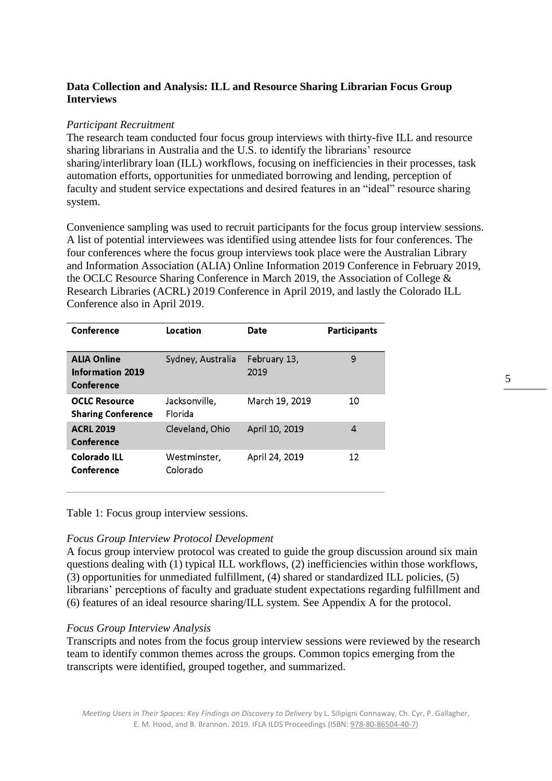## **Data Collection and Analysis: ILL and Resource Sharing Librarian Focus Group Interviews**

#### *Participant Recruitment*

The research team conducted four focus group interviews with thirty-five ILL and resource sharing librarians in Australia and the U.S. to identify the librarians' resource sharing/interlibrary loan (ILL) workflows, focusing on inefficiencies in their processes, task automation efforts, opportunities for unmediated borrowing and lending, perception of faculty and student service expectations and desired features in an "ideal" resource sharing system.

Convenience sampling was used to recruit participants for the focus group interview sessions. A list of potential interviewees was identified using attendee lists for four conferences. The four conferences where the focus group interviews took place were the Australian Library and Information Association (ALIA) Online Information 2019 Conference in February 2019, the OCLC Resource Sharing Conference in March 2019, the Association of College & Research Libraries (ACRL) 2019 Conference in April 2019, and lastly the Colorado ILL Conference also in April 2019.

| Conference                                                  | Location                 | <b>Date</b>          | <b>Participants</b> |
|-------------------------------------------------------------|--------------------------|----------------------|---------------------|
| <b>ALIA Online</b><br><b>Information 2019</b><br>Conference | Sydney, Australia        | February 13,<br>2019 | 9                   |
| <b>OCLC Resource</b><br><b>Sharing Conference</b>           | Jacksonville,<br>Florida | March 19, 2019       | 10                  |
| <b>ACRL 2019</b><br>Conference                              | Cleveland, Ohio          | April 10, 2019       | 4                   |
| Colorado ILL<br>Conference                                  | Westminster.<br>Colorado | April 24, 2019       | 12                  |

Table 1: Focus group interview sessions.

#### *Focus Group Interview Protocol Development*

A focus group interview protocol was created to guide the group discussion around six main questions dealing with (1) typical ILL workflows, (2) inefficiencies within those workflows, (3) opportunities for unmediated fulfillment, (4) shared or standardized ILL policies, (5) librarians' perceptions of faculty and graduate student expectations regarding fulfillment and (6) features of an ideal resource sharing/ILL system. See Appendix A for the protocol.

#### *Focus Group Interview Analysis*

Transcripts and notes from the focus group interview sessions were reviewed by the research team to identify common themes across the groups. Common topics emerging from the transcripts were identified, grouped together, and summarized.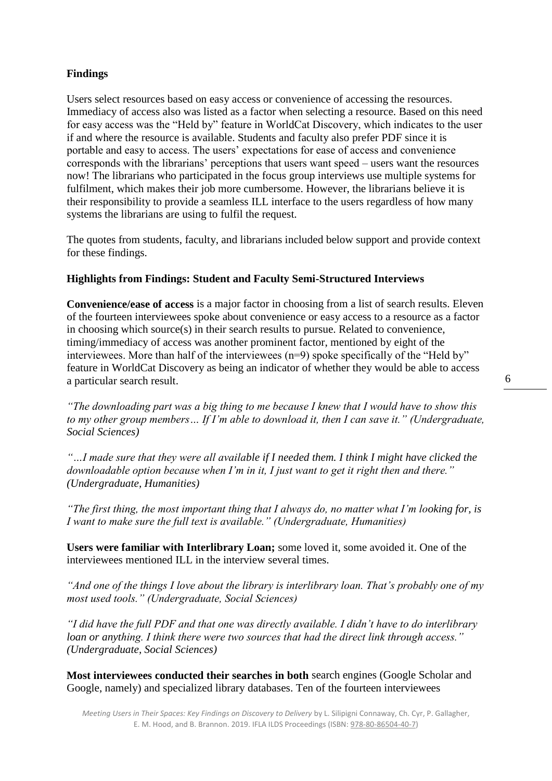## **Findings**

Users select resources based on easy access or convenience of accessing the resources. Immediacy of access also was listed as a factor when selecting a resource. Based on this need for easy access was the "Held by" feature in WorldCat Discovery, which indicates to the user if and where the resource is available. Students and faculty also prefer PDF since it is portable and easy to access. The users' expectations for ease of access and convenience corresponds with the librarians' perceptions that users want speed – users want the resources now! The librarians who participated in the focus group interviews use multiple systems for fulfilment, which makes their job more cumbersome. However, the librarians believe it is their responsibility to provide a seamless ILL interface to the users regardless of how many systems the librarians are using to fulfil the request.

The quotes from students, faculty, and librarians included below support and provide context for these findings.

## **Highlights from Findings: Student and Faculty Semi-Structured Interviews**

**Convenience/ease of access** is a major factor in choosing from a list of search results. Eleven of the fourteen interviewees spoke about convenience or easy access to a resource as a factor in choosing which source(s) in their search results to pursue. Related to convenience, timing/immediacy of access was another prominent factor, mentioned by eight of the interviewees. More than half of the interviewees (n=9) spoke specifically of the "Held by" feature in WorldCat Discovery as being an indicator of whether they would be able to access a particular search result.

*"The downloading part was a big thing to me because I knew that I would have to show this to my other group members… If I'm able to download it, then I can save it." (Undergraduate, Social Sciences)* 

*"…I made sure that they were all available if I needed them. I think I might have clicked the downloadable option because when I'm in it, I just want to get it right then and there." (Undergraduate, Humanities)* 

*"The first thing, the most important thing that I always do, no matter what I'm looking for, is I want to make sure the full text is available." (Undergraduate, Humanities)* 

**Users were familiar with Interlibrary Loan;** some loved it, some avoided it. One of the interviewees mentioned ILL in the interview several times.

*"And one of the things I love about the library is interlibrary loan. That's probably one of my most used tools." (Undergraduate, Social Sciences)* 

*"I did have the full PDF and that one was directly available. I didn't have to do interlibrary loan or anything. I think there were two sources that had the direct link through access." (Undergraduate, Social Sciences)*

**Most interviewees conducted their searches in both** search engines (Google Scholar and Google, namely) and specialized library databases. Ten of the fourteen interviewees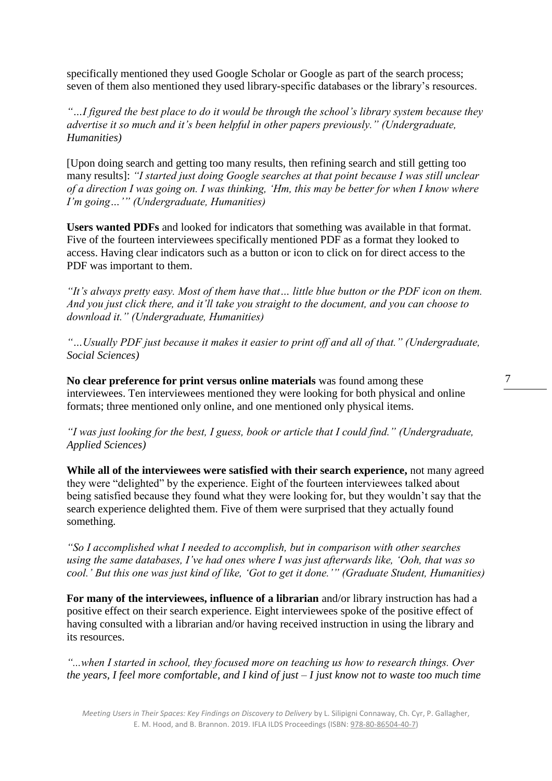specifically mentioned they used Google Scholar or Google as part of the search process; seven of them also mentioned they used library-specific databases or the library's resources.

*"…I figured the best place to do it would be through the school's library system because they advertise it so much and it's been helpful in other papers previously." (Undergraduate, Humanities)*

[Upon doing search and getting too many results, then refining search and still getting too many results]: *"I started just doing Google searches at that point because I was still unclear of a direction I was going on. I was thinking, 'Hm, this may be better for when I know where I'm going…'" (Undergraduate, Humanities)*

**Users wanted PDFs** and looked for indicators that something was available in that format. Five of the fourteen interviewees specifically mentioned PDF as a format they looked to access. Having clear indicators such as a button or icon to click on for direct access to the PDF was important to them.

*"It's always pretty easy. Most of them have that… little blue button or the PDF icon on them. And you just click there, and it'll take you straight to the document, and you can choose to download it." (Undergraduate, Humanities)*

*"…Usually PDF just because it makes it easier to print off and all of that." (Undergraduate, Social Sciences)* 

**No clear preference for print versus online materials** was found among these interviewees. Ten interviewees mentioned they were looking for both physical and online formats; three mentioned only online, and one mentioned only physical items.

*"I was just looking for the best, I guess, book or article that I could find." (Undergraduate, Applied Sciences)*

**While all of the interviewees were satisfied with their search experience,** not many agreed they were "delighted" by the experience. Eight of the fourteen interviewees talked about being satisfied because they found what they were looking for, but they wouldn't say that the search experience delighted them. Five of them were surprised that they actually found something.

*"So I accomplished what I needed to accomplish, but in comparison with other searches using the same databases, I've had ones where I was just afterwards like, 'Ooh, that was so cool.' But this one was just kind of like, 'Got to get it done.'" (Graduate Student, Humanities)* 

**For many of the interviewees, influence of a librarian** and/or library instruction has had a positive effect on their search experience. Eight interviewees spoke of the positive effect of having consulted with a librarian and/or having received instruction in using the library and its resources.

*"...when I started in school, they focused more on teaching us how to research things. Over the years, I feel more comfortable, and I kind of just – I just know not to waste too much time* 

*Meeting Users in Their Spaces: Key Findings on Discovery to Delivery* by L. Silipigni Connaway, Ch. Cyr, P. Gallagher, E. M. Hood, and B. Brannon. 2019. IFLA ILDS Proceedings (ISBN: [978-80-86504-40-7\)](https://www.techlib.cz/en/84026)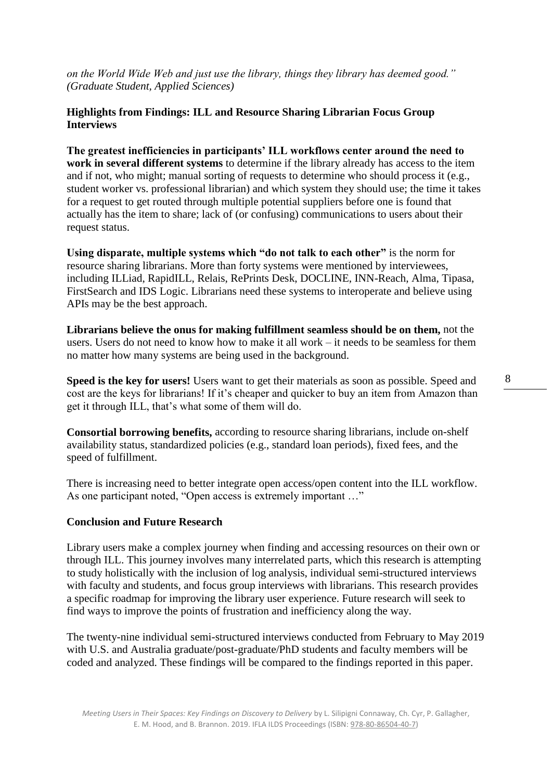*on the World Wide Web and just use the library, things they library has deemed good." (Graduate Student, Applied Sciences)* 

## **Highlights from Findings: ILL and Resource Sharing Librarian Focus Group Interviews**

**The greatest inefficiencies in participants' ILL workflows center around the need to work in several different systems** to determine if the library already has access to the item and if not, who might; manual sorting of requests to determine who should process it (e.g., student worker vs. professional librarian) and which system they should use; the time it takes for a request to get routed through multiple potential suppliers before one is found that actually has the item to share; lack of (or confusing) communications to users about their request status.

**Using disparate, multiple systems which "do not talk to each other"** is the norm for resource sharing librarians. More than forty systems were mentioned by interviewees, including ILLiad, RapidILL, Relais, RePrints Desk, DOCLINE, INN-Reach, Alma, Tipasa, FirstSearch and IDS Logic. Librarians need these systems to interoperate and believe using APIs may be the best approach.

**Librarians believe the onus for making fulfillment seamless should be on them,** not the users. Users do not need to know how to make it all work – it needs to be seamless for them no matter how many systems are being used in the background.

**Speed is the key for users!** Users want to get their materials as soon as possible. Speed and cost are the keys for librarians! If it's cheaper and quicker to buy an item from Amazon than get it through ILL, that's what some of them will do.

**Consortial borrowing benefits,** according to resource sharing librarians, include on-shelf availability status, standardized policies (e.g., standard loan periods), fixed fees, and the speed of fulfillment.

There is increasing need to better integrate open access/open content into the ILL workflow. As one participant noted, "Open access is extremely important …"

#### **Conclusion and Future Research**

Library users make a complex journey when finding and accessing resources on their own or through ILL. This journey involves many interrelated parts, which this research is attempting to study holistically with the inclusion of log analysis, individual semi-structured interviews with faculty and students, and focus group interviews with librarians. This research provides a specific roadmap for improving the library user experience. Future research will seek to find ways to improve the points of frustration and inefficiency along the way.

The twenty-nine individual semi-structured interviews conducted from February to May 2019 with U.S. and Australia graduate/post-graduate/PhD students and faculty members will be coded and analyzed. These findings will be compared to the findings reported in this paper.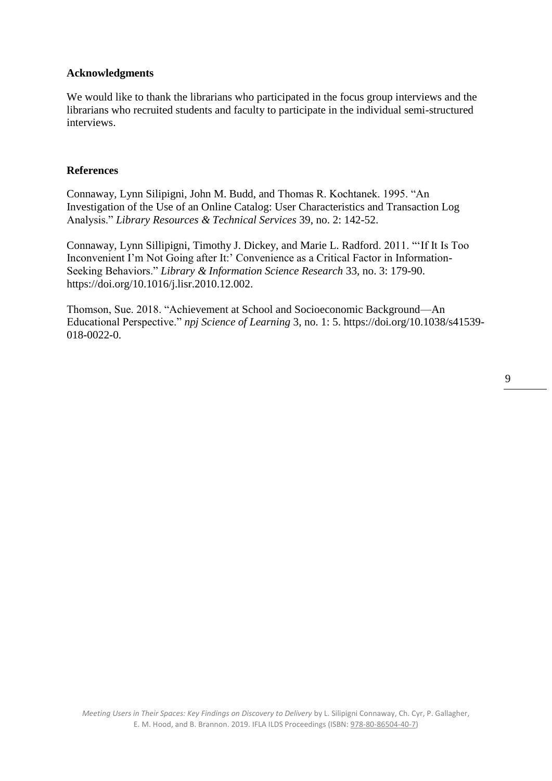## **Acknowledgments**

We would like to thank the librarians who participated in the focus group interviews and the librarians who recruited students and faculty to participate in the individual semi-structured interviews.

#### **References**

Connaway, Lynn Silipigni, John M. Budd, and Thomas R. Kochtanek. 1995. "An Investigation of the Use of an Online Catalog: User Characteristics and Transaction Log Analysis." *Library Resources & Technical Services* 39, no. 2: 142-52.

Connaway, Lynn Sillipigni, Timothy J. Dickey, and Marie L. Radford. 2011. "'If It Is Too Inconvenient I'm Not Going after It:' Convenience as a Critical Factor in Information-Seeking Behaviors." *Library & Information Science Research* 33, no. 3: 179-90. https://doi.org/10.1016/j.lisr.2010.12.002.

Thomson, Sue. 2018. "Achievement at School and Socioeconomic Background—An Educational Perspective." *npj Science of Learning* 3, no. 1: 5. https://doi.org/10.1038/s41539- 018-0022-0.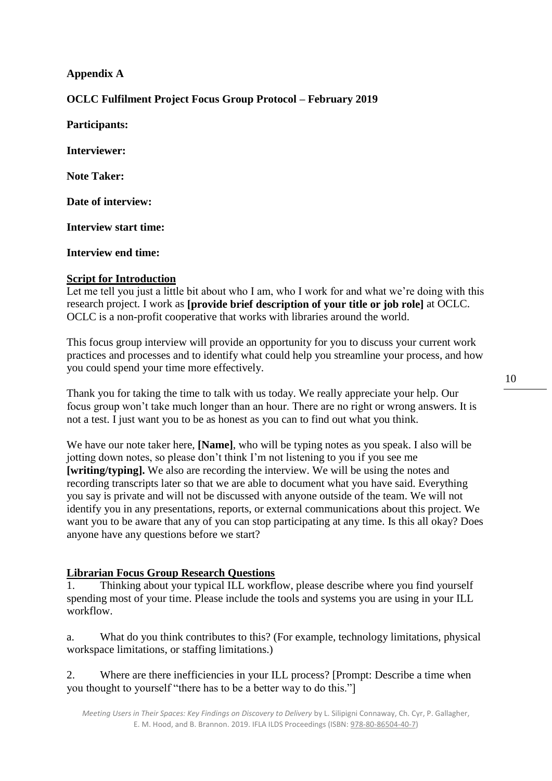## **Appendix A**

## **OCLC Fulfilment Project Focus Group Protocol – February 2019**

**Participants: Interviewer: Note Taker: Date of interview: Interview start time:** 

**Interview end time:** 

## **Script for Introduction**

Let me tell you just a little bit about who I am, who I work for and what we're doing with this research project. I work as **[provide brief description of your title or job role]** at OCLC. OCLC is a non-profit cooperative that works with libraries around the world.

This focus group interview will provide an opportunity for you to discuss your current work practices and processes and to identify what could help you streamline your process, and how you could spend your time more effectively.

Thank you for taking the time to talk with us today. We really appreciate your help. Our focus group won't take much longer than an hour. There are no right or wrong answers. It is not a test. I just want you to be as honest as you can to find out what you think.

We have our note taker here, **[Name]**, who will be typing notes as you speak. I also will be jotting down notes, so please don't think I'm not listening to you if you see me **[writing/typing].** We also are recording the interview. We will be using the notes and recording transcripts later so that we are able to document what you have said. Everything you say is private and will not be discussed with anyone outside of the team. We will not identify you in any presentations, reports, or external communications about this project. We want you to be aware that any of you can stop participating at any time. Is this all okay? Does anyone have any questions before we start?

## **Librarian Focus Group Research Questions**

1. Thinking about your typical ILL workflow, please describe where you find yourself spending most of your time. Please include the tools and systems you are using in your ILL workflow.

a. What do you think contributes to this? (For example, technology limitations, physical workspace limitations, or staffing limitations.)

2. Where are there inefficiencies in your ILL process? [Prompt: Describe a time when you thought to yourself "there has to be a better way to do this."]